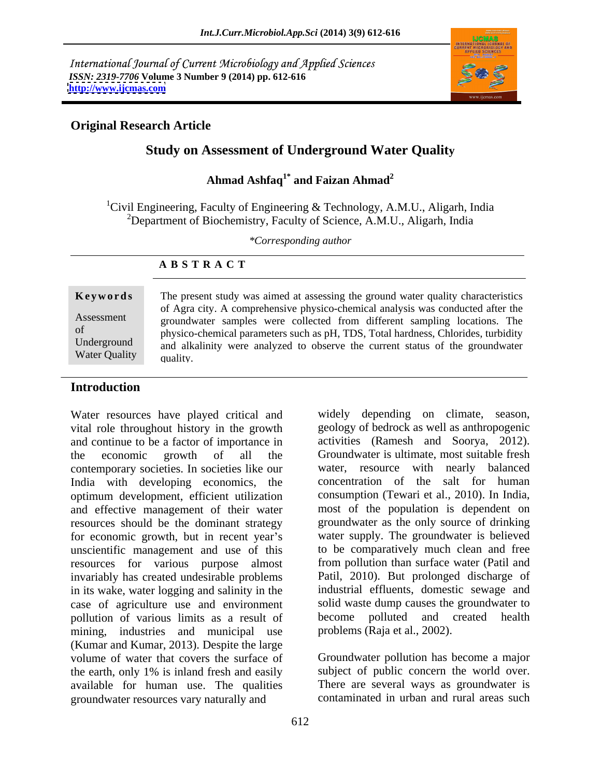International Journal of Current Microbiology and Applied Sciences *ISSN: 2319-7706* **Volume 3 Number 9 (2014) pp. 612-616 <http://www.ijcmas.com>**



# **Original Research Article**

# **Study on Assessment of Underground Water Quality**

### **Ahmad Ashfaq1\* and Faizan Ahmad<sup>2</sup>**

<sup>1</sup>Civil Engineering, Faculty of Engineering & Technology, A.M.U., Aligarh, India <sup>2</sup>Department of Biochemistry, Faculty of Science, A.M.U., Aligarh, India

*\*Corresponding author* 

### **A B S T R A C T**

**Keywords** The present study was aimed at assessing the ground water quality characteristics Assessment groundwater samples were collected from different sampling locations. The of physico-chemical parameters such as pH, TDS, Total hardness, Chlorides, turbidity Underground and alkalinity were analyzed to observe the current status of the groundwater Water Quality  $\qquad$   $_{\text{quality}}$   $\qquad$   $\qquad$   $\qquad$   $\qquad$   $\qquad$   $\qquad$   $\qquad$   $\qquad$   $\qquad$   $\qquad$   $\qquad$   $\qquad$   $\qquad$   $\qquad$   $\qquad$   $\qquad$   $\qquad$   $\qquad$   $\qquad$   $\qquad$   $\qquad$   $\qquad$   $\qquad$   $\qquad$   $\qquad$   $\qquad$   $\qquad$   $\qquad$   $\qquad$   $\qquad$   $\qquad$   $\qquad$  of Agra city. A comprehensive physico-chemical analysis was conducted after the quality.

### **Introduction**

Water resources have played critical and vital role throughout history in the growth and continue to be a factor of importance in contemporary societies. In societies like our India with developing economics, the optimum development, efficient utilization and effective management of their water resources should be the dominant strategy for economic growth, but in recent year's unscientific management and use of this resources for various purpose almost invariably has created undesirable problems in its wake, water logging and salinity in the case of agriculture use and environment pollution of various limits as a result of mining, industries and municipal use (Kumar and Kumar, 2013). Despite the large volume of water that covers the surface of Groundwater pollution has become a major the earth, only 1% is inland fresh and easily subject of public concern the world over. available for human use. The qualities groundwater resources vary naturally and

the economic growth of all the Groundwater is ultimate, most suitable fresh widely depending on climate, season, geology of bedrock as well as anthropogenic activities (Ramesh and Soorya, 2012). water, resource with nearly balanced concentration of the salt for human consumption (Tewari et al., 2010). In India, most of the population is dependent on groundwater as the only source of drinking water supply. The groundwater is believed to be comparatively much clean and free from pollution than surface water (Patil and Patil, 2010). But prolonged discharge of industrial effluents, domestic sewage and solid waste dump causes the groundwater to become polluted and created health problems (Raja et al., 2002).

> There are several ways as groundwater is contaminated in urban and rural areas such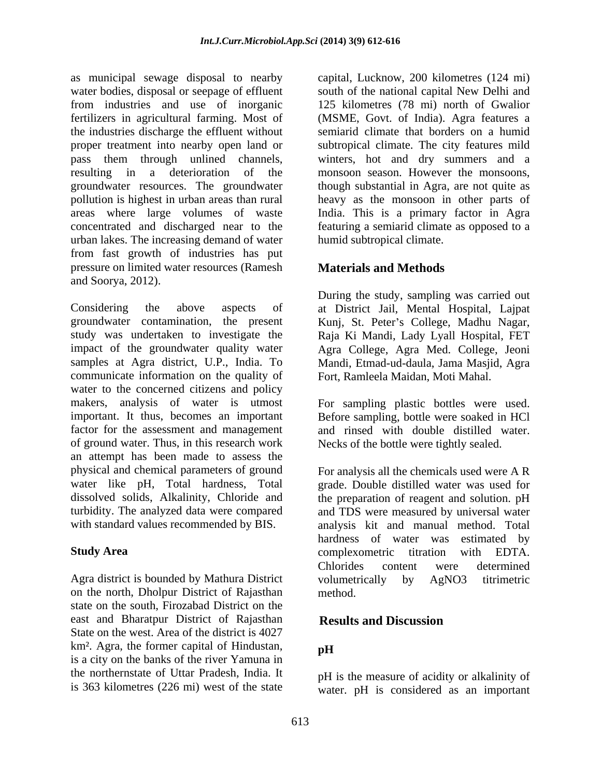as municipal sewage disposal to nearby capital, Lucknow, 200 kilometres (124 mi) water bodies, disposal or seepage of effluent south of the national capital New Delhi and from industries and use of inorganic 125 kilometres (78 mi) north of Gwalior fertilizers in agricultural farming. Most of (MSME, Govt. of India). Agra features a the industries discharge the effluent without semiarid climate that borders on a humid proper treatment into nearby open land or subtropical climate. The city features mild pass them through unlined channels, winters, hot and dry summers and a resulting in a deterioration of the monsoon season. However the monsoons, groundwater resources. The groundwater pollution is highest in urban areas than rural heavy as the monsoon in other parts of areas where large volumes of waste India. This is a primary factor in Agra concentrated and discharged near to the featuring a semiarid climate as opposed to a urban lakes. The increasing demand of water from fast growth of industries has put pressure on limited water resources (Ramesh and Soorya, 2012).

Considering the above aspects of at District Jail, Mental Hospital, Lajpat groundwater contamination, the present Kunj, St. Peter s College, Madhu Nagar, study was undertaken to investigate the Raja Ki Mandi, Lady Lyall Hospital, FET impact of the groundwater quality water Agra College, Agra Med. College, Jeoni samples at Agra district, U.P., India. To Mandi, Etmad-ud-daula, Jama Masjid, Agra communicate information on the quality of water to the concerned citizens and policy makers, analysis of water is utmost For sampling plastic bottles were used. important. It thus, becomes an important Before sampling, bottle were soaked in HCl factor for the assessment and management and rinsed with double distilled water. of ground water. Thus, in this research work an attempt has been made to assess the physical and chemical parameters of ground For analysis all the chemicals used were A R water like pH, Total hardness, Total grade. Double distilled water was used for dissolved solids, Alkalinity, Chloride and the preparation of reagent and solution. pH turbidity. The analyzed data were compared and TDS were measured by universal water

Agra district is bounded by Mathura District volumetrically by AgNO3 titrimetric on the north, Dholpur District of Rajasthan state on the south, Firozabad District on the east and Bharatpur District of Rajasthan State on the west. Area of the district is 4027 km². Agra, the former capital of Hindustan,  $\mathbf{p}$ H is a city on the banks of the river Yamuna in the northernstate of Uttar Pradesh, India. It

though substantial in Agra, are not quite as humid subtropical climate.

# **Materials and Methods**

During the study, sampling was carried out Fort, Ramleela Maidan, Moti Mahal.

Necks of the bottle were tightly sealed.

with standard values recommended by BIS. analysis kit and manual method. Total **Study Area Study Area Study Area CONSERVING AREA CONSERVING AREA CONSERVING AREA CONSERVING AREA CONSERVING AREA CONSERVING AREA CONSERVING AREA CONSERVING AREA CONSERVING AREA CONSERVING AREA CO** hardness of water was estimated by complexometric titration with EDTA. Chlorides content were determined volumetrically by AgNO3 titrimetric method.

# **Results and Discussion**

# **pH**

is 363 kilometres (226 mi) west of the state water. pH is considered as an importantpH is the measure of acidity or alkalinity of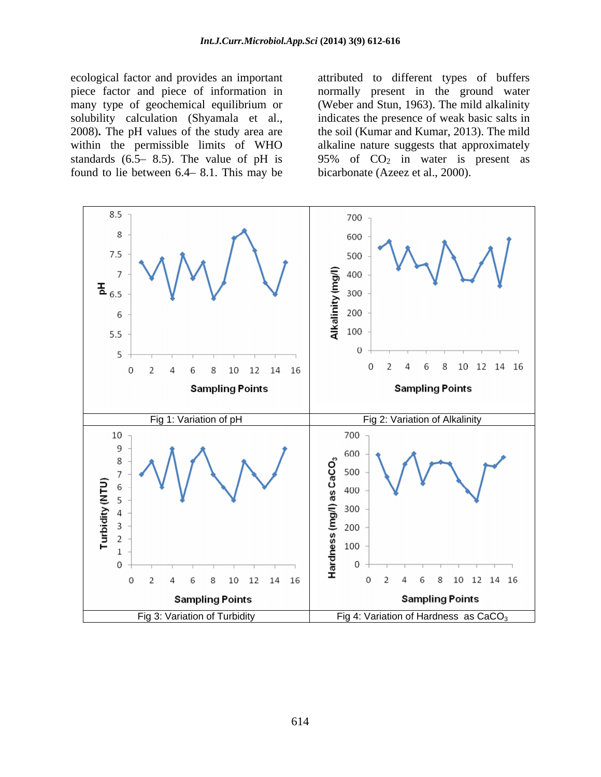solubility calculation (Shyamala et al., found to lie between  $6.4 - 8.1$ . This may be

ecological factor and provides an important attributed to different types of buffers piece factor and piece of information in normally present in the ground water many type of geochemical equilibrium or (Weber and Stun, 1963). The mild alkalinity 2008)**.** The pH values of the study area are the soil (Kumar and Kumar, 2013). The mild within the permissible limits of WHO alkaline nature suggests that approximately standards (6.5–8.5). The value of pH is  $95\%$  of  $CO<sub>2</sub>$  in water is present as indicates the presence of weak basic salts in bicarbonate (Azeez et al., 2000).

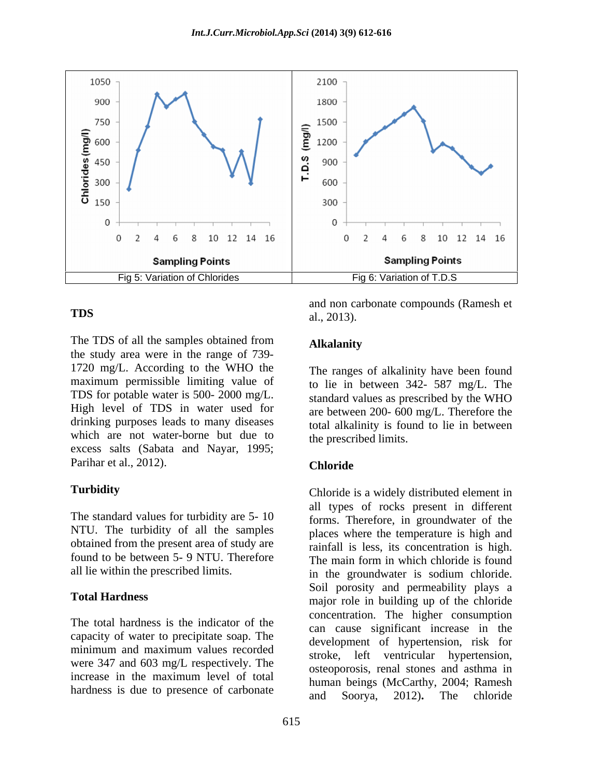

The TDS of all the samples obtained from Alkalanity the study area were in the range of 739- 1720 mg/L. According to the WHO the maximum permissible limiting value of TDS for potable water is 500- 2000 mg/L. High level of TDS in water used for drinking purposes leads to many diseases total alkalinity is found to lie in between which are not water-borne but due to excess salts (Sabata and Nayar, 1995; Parihar et al., 2012). Chloride

The standard values for turbidity are 5- 10 obtained from the present area of study are found to be between 5- 9 NTU. Therefore The main form in which chloride is found

The total hardness is the indicator of the capacity of water to precipitate soap. The minimum and maximum values recorded were 347 and 603 mg/L respectively. The

**TDS** al. 2013) and non carbonate compounds (Ramesh et al., 2013).

# **Alkalanity**

The ranges of alkalinity have been found to lie in between 342- 587 mg/L. The standard values as prescribed by the WHO are between 200- 600 mg/L. Therefore the the prescribed limits.

# **Chloride**

**Turbidity** Chloride is a widely distributed element in NTU. The turbidity of all the samples places where the temperature is high and all lie within the prescribed limits.<br>in the groundwater is sodium chloride. **Total Hardness** major role in building up of the chloride increase in the maximum level of total buman beings (McCarthy 2004: Pamech hardness is due to presence of carbonate and Soorya, 2012). The chloride all types of rocks present in different forms. Therefore, in groundwater of the rainfall is less, its concentration is high. The main form in which chloride is found in the groundwater is sodium chloride. Soil porosity and permeability plays a concentration. The higher consumption can cause significant increase in the development of hypertension, risk for stroke, left ventricular hypertension, osteoporosis, renal stones and asthma in human beings (McCarthy, 2004; Ramesh and Soorya, 2012)**.** The chloride